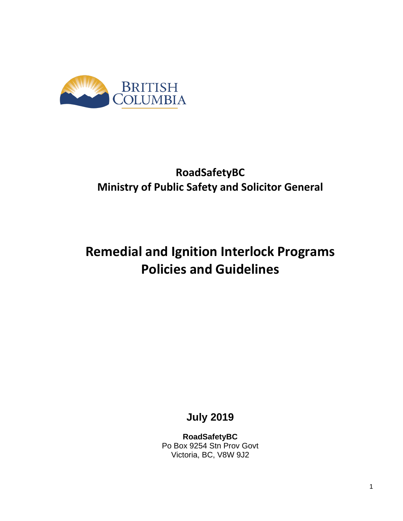

## **RoadSafetyBC Ministry of Public Safety and Solicitor General**

# **Remedial and Ignition Interlock Programs Policies and Guidelines**

**July 2019**

**RoadSafetyBC** Po Box 9254 Stn Prov Govt Victoria, BC, V8W 9J2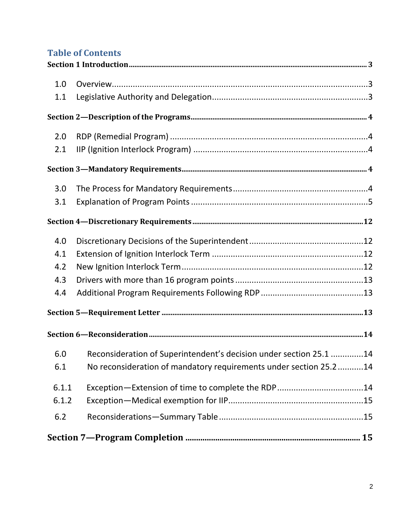## **Table of Contents**

| 1.0   |                                                                    |  |
|-------|--------------------------------------------------------------------|--|
| 1.1   |                                                                    |  |
|       |                                                                    |  |
| 2.0   |                                                                    |  |
| 2.1   |                                                                    |  |
|       |                                                                    |  |
| 3.0   |                                                                    |  |
| 3.1   |                                                                    |  |
|       |                                                                    |  |
| 4.0   |                                                                    |  |
| 4.1   |                                                                    |  |
| 4.2   |                                                                    |  |
| 4.3   |                                                                    |  |
| 4.4   |                                                                    |  |
|       |                                                                    |  |
|       |                                                                    |  |
| 6.0   | Reconsideration of Superintendent's decision under section 25.1 14 |  |
| 6.1   | No reconsideration of mandatory requirements under section 25.214  |  |
| 6.1.1 | Exception-Extension of time to complete the RDP14                  |  |
| 6.1.2 |                                                                    |  |
| 6.2   |                                                                    |  |
|       |                                                                    |  |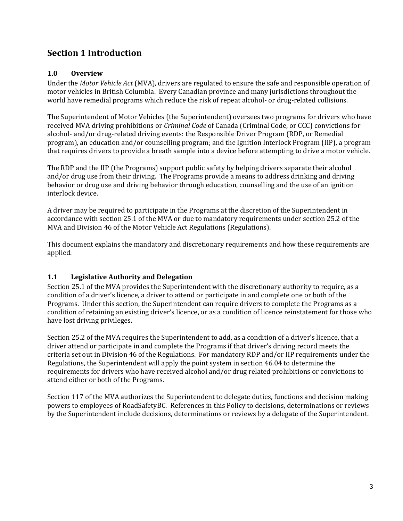## <span id="page-2-0"></span>**Section 1 Introduction**

#### <span id="page-2-1"></span>**1.0 Overview**

Under the *Motor Vehicle Act* (MVA), drivers are regulated to ensure the safe and responsible operation of motor vehicles in British Columbia. Every Canadian province and many jurisdictions throughout the world have remedial programs which reduce the risk of repeat alcohol- or drug-related collisions.

The Superintendent of Motor Vehicles (the Superintendent) oversees two programs for drivers who have received MVA driving prohibitions or *Criminal Code* of Canada (Criminal Code, or CCC) convictions for alcohol- and/or drug-related driving events: the Responsible Driver Program (RDP, or Remedial program), an education and/or counselling program; and the Ignition Interlock Program (IIP), a program that requires drivers to provide a breath sample into a device before attempting to drive a motor vehicle.

The RDP and the IIP (the Programs) support public safety by helping drivers separate their alcohol and/or drug use from their driving. The Programs provide a means to address drinking and driving behavior or drug use and driving behavior through education, counselling and the use of an ignition interlock device.

A driver may be required to participate in the Programs at the discretion of the Superintendent in accordance with section 25.1 of the MVA or due to mandatory requirements under section 25.2 of the MVA and Division 46 of the Motor Vehicle Act Regulations (Regulations).

This document explains the mandatory and discretionary requirements and how these requirements are applied.

#### <span id="page-2-2"></span>**1.1 Legislative Authority and Delegation**

Section 25.1 of the MVA provides the Superintendent with the discretionary authority to require, as a condition of a driver's licence, a driver to attend or participate in and complete one or both of the Programs. Under this section, the Superintendent can require drivers to complete the Programs as a condition of retaining an existing driver's licence, or as a condition of licence reinstatement for those who have lost driving privileges.

Section 25.2 of the MVA requires the Superintendent to add, as a condition of a driver's licence, that a driver attend or participate in and complete the Programs if that driver's driving record meets the criteria set out in Division 46 of the Regulations. For mandatory RDP and/or IIP requirements under the Regulations, the Superintendent will apply the point system in section 46.04 to determine the requirements for drivers who have received alcohol and/or drug related prohibitions or convictions to attend either or both of the Programs.

Section 117 of the MVA authorizes the Superintendent to delegate duties, functions and decision making powers to employees of RoadSafetyBC. References in this Policy to decisions, determinations or reviews by the Superintendent include decisions, determinations or reviews by a delegate of the Superintendent.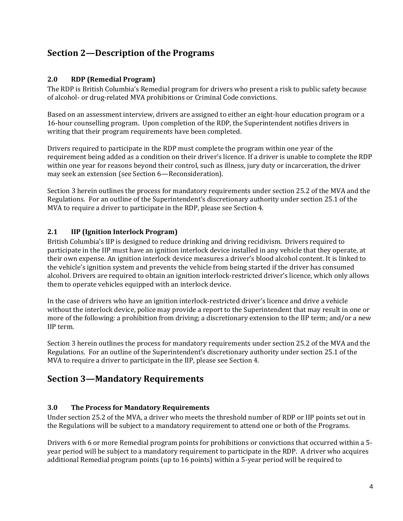## <span id="page-3-0"></span>**Section 2—Description of the Programs**

#### <span id="page-3-1"></span>**2.0 RDP (Remedial Program)**

The RDP is British Columbia's Remedial program for drivers who present a risk to public safety because of alcohol- or drug-related MVA prohibitions or Criminal Code convictions.

Based on an assessment interview, drivers are assigned to either an eight-hour education program or a 16-hour counselling program. Upon completion of the RDP, the Superintendent notifies drivers in writing that their program requirements have been completed.

Drivers required to participate in the RDP must complete the program within one year of the requirement being added as a condition on their driver's licence. If a driver is unable to complete the RDP within one year for reasons beyond their control, such as illness, jury duty or incarceration, the driver may seek an extension (see Section 6—Reconsideration).

Section 3 herein outlines the process for mandatory requirements under section 25.2 of the MVA and the Regulations. For an outline of the Superintendent's discretionary authority under section 25.1 of the MVA to require a driver to participate in the RDP, please see Section 4.

#### <span id="page-3-2"></span>**2.1 IIP (Ignition Interlock Program)**

British Columbia's IIP is designed to reduce drinking and driving recidivism. Drivers required to participate in the IIP must have an ignition interlock device installed in any vehicle that they operate, at their own expense. An ignition interlock device measures a driver's blood alcohol content. It is linked to the vehicle's ignition system and prevents the vehicle from being started if the driver has consumed alcohol. Drivers are required to obtain an ignition interlock-restricted driver's licence, which only allows them to operate vehicles equipped with an interlock device.

In the case of drivers who have an ignition interlock-restricted driver's licence and drive a vehicle without the interlock device, police may provide a report to the Superintendent that may result in one or more of the following: a prohibition from driving; a discretionary extension to the IIP term; and/or a new IIP term.

Section 3 herein outlines the process for mandatory requirements under section 25.2 of the MVA and the Regulations. For an outline of the Superintendent's discretionary authority under section 25.1 of the MVA to require a driver to participate in the IIP, please see Section 4.

## <span id="page-3-3"></span>**Section 3—Mandatory Requirements**

#### <span id="page-3-4"></span>**3.0 The Process for Mandatory Requirements**

Under section 25.2 of the MVA, a driver who meets the threshold number of RDP or IIP points set out in the Regulations will be subject to a mandatory requirement to attend one or both of the Programs.

Drivers with 6 or more Remedial program points for prohibitions or convictions that occurred within a 5 year period will be subject to a mandatory requirement to participate in the RDP. A driver who acquires additional Remedial program points (up to 16 points) within a 5-year period will be required to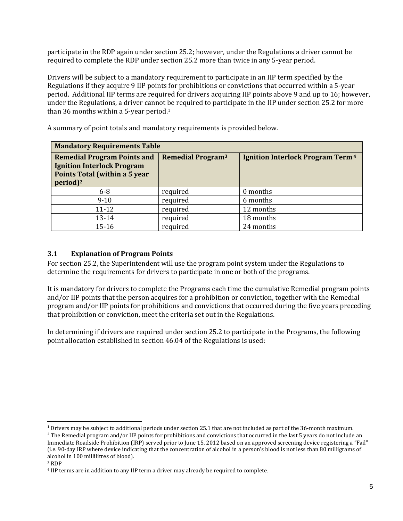participate in the RDP again under section 25.2; however, under the Regulations a driver cannot be required to complete the RDP under section 25.2 more than twice in any 5-year period.

Drivers will be subject to a mandatory requirement to participate in an IIP term specified by the Regulations if they acquire 9 IIP points for prohibitions or convictions that occurred within a 5-year period. Additional IIP terms are required for drivers acquiring IIP points above 9 and up to 16; however, under the Regulations, a driver cannot be required to participate in the IIP under section 25.2 for more than 36 months within a 5-year period.<sup>1</sup>

| <b>Mandatory Requirements Table</b>                                                                                               |                                     |                                                    |  |  |  |  |
|-----------------------------------------------------------------------------------------------------------------------------------|-------------------------------------|----------------------------------------------------|--|--|--|--|
| <b>Remedial Program Points and</b><br><b>Ignition Interlock Program</b><br>Points Total (within a 5 year<br>$period$ <sup>2</sup> | <b>Remedial Program<sup>3</sup></b> | <b>Ignition Interlock Program Term<sup>4</sup></b> |  |  |  |  |
| $6-8$                                                                                                                             | required                            | 0 months                                           |  |  |  |  |
| $9 - 10$                                                                                                                          | required                            | 6 months                                           |  |  |  |  |
| $11 - 12$                                                                                                                         | required                            | 12 months                                          |  |  |  |  |
| $13 - 14$                                                                                                                         | required                            | 18 months                                          |  |  |  |  |
| $15 - 16$                                                                                                                         | required                            | 24 months                                          |  |  |  |  |

A summary of point totals and mandatory requirements is provided below.

#### <span id="page-4-0"></span>**3.1 Explanation of Program Points**

For section 25.2, the Superintendent will use the program point system under the Regulations to determine the requirements for drivers to participate in one or both of the programs.

It is mandatory for drivers to complete the Programs each time the cumulative Remedial program points and/or IIP points that the person acquires for a prohibition or conviction, together with the Remedial program and/or IIP points for prohibitions and convictions that occurred during the five years preceding that prohibition or conviction, meet the criteria set out in the Regulations.

In determining if drivers are required under section 25.2 to participate in the Programs, the following point allocation established in section 46.04 of the Regulations is used:

 $1$  Drivers may be subject to additional periods under section 25.1 that are not included as part of the 36-month maximum.

<sup>&</sup>lt;sup>2</sup> The Remedial program and/or IIP points for prohibitions and convictions that occurred in the last 5 years do not include an Immediate Roadside Prohibition (IRP) served prior to June 15, 2012 based on an approved screening device registering a "Fail" (i.e. 90-day IRP where device indicating that the concentration of alcohol in a person's blood is not less than 80 milligrams of alcohol in 100 millilitres of blood).

<sup>3</sup> RDP

<sup>4</sup> IIP terms are in addition to any IIP term a driver may already be required to complete.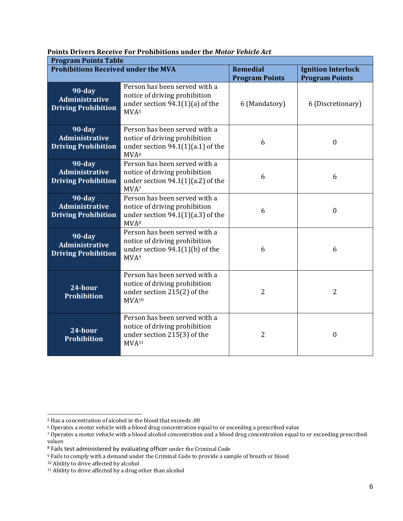**Points Drivers Receive For Prohibitions under the** *Motor Vehicle Act*

| <b>Program Points Table</b>                                      |                                                                                                                           |                                          |                                                    |  |  |
|------------------------------------------------------------------|---------------------------------------------------------------------------------------------------------------------------|------------------------------------------|----------------------------------------------------|--|--|
| <b>Prohibitions Received under the MVA</b>                       |                                                                                                                           | <b>Remedial</b><br><b>Program Points</b> | <b>Ignition Interlock</b><br><b>Program Points</b> |  |  |
| $90$ -day<br><b>Administrative</b><br><b>Driving Prohibition</b> | Person has been served with a<br>notice of driving prohibition<br>under section $94.1(1)(a)$ of the<br>MVA <sup>5</sup>   | 6 (Mandatory)                            | 6 (Discretionary)                                  |  |  |
| $90$ -day<br><b>Administrative</b><br><b>Driving Prohibition</b> | Person has been served with a<br>notice of driving prohibition<br>under section $94.1(1)(a.1)$ of the<br>MVA <sup>6</sup> | 6                                        | $\boldsymbol{0}$                                   |  |  |
| $90$ -day<br><b>Administrative</b><br><b>Driving Prohibition</b> | Person has been served with a<br>notice of driving prohibition<br>under section $94.1(1)(a.2)$ of the<br>MVA <sup>7</sup> | 6                                        | 6                                                  |  |  |
| $90$ -day<br><b>Administrative</b><br><b>Driving Prohibition</b> | Person has been served with a<br>notice of driving prohibition<br>under section $94.1(1)(a.3)$ of the<br>MVA <sup>8</sup> | 6                                        | $\theta$                                           |  |  |
| $90$ -day<br><b>Administrative</b><br><b>Driving Prohibition</b> | Person has been served with a<br>notice of driving prohibition<br>under section $94.1(1)(b)$ of the<br>MVA <sup>9</sup>   | 6                                        | 6                                                  |  |  |
| 24-hour<br><b>Prohibition</b>                                    | Person has been served with a<br>notice of driving prohibition<br>under section 215(2) of the<br>MVA <sup>10</sup>        | $\overline{2}$                           | 2                                                  |  |  |
| 24-hour<br><b>Prohibition</b>                                    | Person has been served with a<br>notice of driving prohibition<br>under section 215(3) of the<br>MVA <sup>11</sup>        | $\overline{2}$                           | 0                                                  |  |  |

<sup>5</sup> Has a concentration of alcohol in the blood that exceeds .08

<sup>6</sup> Operates a motor vehicle with a blood drug concentration equal to or exceeding a prescribed value

<sup>7</sup> Operates a motor vehicle with a blood alcohol concentration and a blood drug concentration equal to or exceeding prescribed values

<sup>&</sup>lt;sup>8</sup> Fails test administered by evaluating officer under the Criminal Code

<sup>9</sup> Fails to comply with a demand under the Criminal Code to provide a sample of breath or blood

<sup>&</sup>lt;sup>10</sup> Ability to drive affected by alcohol

<sup>11</sup> Ability to drive affected by a drug other than alcohol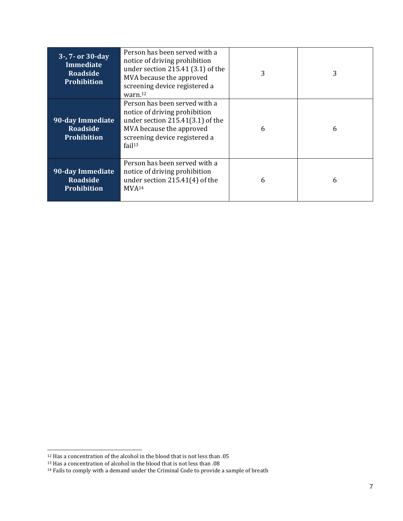| 3-, 7- or 30-day<br><b>Immediate</b><br><b>Roadside</b><br><b>Prohibition</b> | Person has been served with a<br>notice of driving prohibition<br>under section 215.41 (3.1) of the<br>MVA because the approved<br>screening device registered a<br>warn. <sup>12</sup> | 3 | 3 |
|-------------------------------------------------------------------------------|-----------------------------------------------------------------------------------------------------------------------------------------------------------------------------------------|---|---|
| 90-day Immediate<br><b>Roadside</b><br><b>Prohibition</b>                     | Person has been served with a<br>notice of driving prohibition<br>under section $215.41(3.1)$ of the<br>MVA because the approved<br>screening device registered a<br>fail <sup>13</sup> | 6 | 6 |
| 90-day Immediate<br><b>Roadside</b><br>Prohibition                            | Person has been served with a<br>notice of driving prohibition<br>under section $215.41(4)$ of the<br>MVA <sup>14</sup>                                                                 | 6 | 6 |

<sup>12</sup> Has a concentration of the alcohol in the blood that is not less than .05

<sup>13</sup> Has a concentration of alcohol in the blood that is not less than .08

 $14$  Fails to comply with a demand under the Criminal Code to provide a sample of breath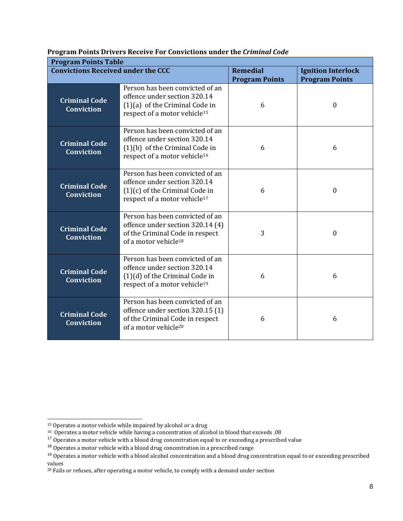**Program Points Drivers Receive For Convictions under the** *Criminal Code*

| <b>Program Points Table</b>               |                                                                                                                                                 |                       |                           |  |  |
|-------------------------------------------|-------------------------------------------------------------------------------------------------------------------------------------------------|-----------------------|---------------------------|--|--|
| <b>Convictions Received under the CCC</b> |                                                                                                                                                 | <b>Remedial</b>       | <b>Ignition Interlock</b> |  |  |
|                                           |                                                                                                                                                 | <b>Program Points</b> | <b>Program Points</b>     |  |  |
| <b>Criminal Code</b><br><b>Conviction</b> | Person has been convicted of an<br>offence under section 320.14<br>$(1)(a)$ of the Criminal Code in<br>respect of a motor vehicle <sup>15</sup> | 6                     | $\theta$                  |  |  |
| <b>Criminal Code</b><br><b>Conviction</b> | Person has been convicted of an<br>offence under section 320.14<br>(1)(b) of the Criminal Code in<br>respect of a motor vehicle <sup>16</sup>   | 6                     | 6                         |  |  |
| <b>Criminal Code</b><br><b>Conviction</b> | Person has been convicted of an<br>offence under section 320.14<br>$(1)(c)$ of the Criminal Code in<br>respect of a motor vehicle <sup>17</sup> | 6                     | $\boldsymbol{0}$          |  |  |
| <b>Criminal Code</b><br><b>Conviction</b> | Person has been convicted of an<br>offence under section 320.14 (4)<br>of the Criminal Code in respect<br>of a motor vehicle <sup>18</sup>      | 3                     | $\mathbf{0}$              |  |  |
| <b>Criminal Code</b><br><b>Conviction</b> | Person has been convicted of an<br>offence under section 320.14<br>(1)(d) of the Criminal Code in<br>respect of a motor vehicle <sup>19</sup>   | 6                     | 6                         |  |  |
| <b>Criminal Code</b><br><b>Conviction</b> | Person has been convicted of an<br>offence under section 320.15 (1)<br>of the Criminal Code in respect<br>of a motor vehicle <sup>20</sup>      | 6                     | 6                         |  |  |

<sup>&</sup>lt;sup>15</sup> Operates a motor vehicle while impaired by alcohol or a drug

<sup>16</sup> Operates a motor vehicle while having a concentration of alcohol in blood that exceeds .08

<sup>&</sup>lt;sup>17</sup> Operates a motor vehicle with a blood drug concentration equal to or exceeding a prescribed value

 $^{18}$  Operates a motor vehicle with a blood drug concentration in a prescribed range

<sup>&</sup>lt;sup>19</sup> Operates a motor vehicle with a blood alcohol concentration and a blood drug concentration equal to or exceeding prescribed values

<sup>20</sup> Fails or refuses, after operating a motor vehicle, to comply with a demand under section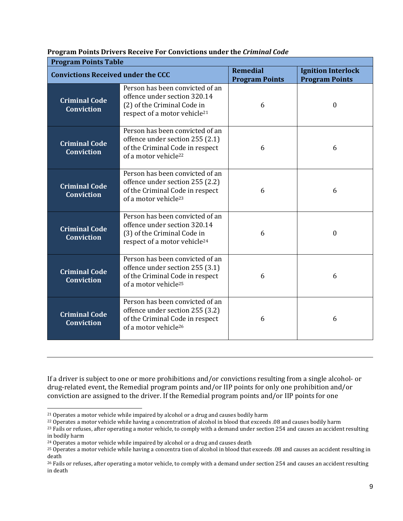|  |  | Program Points Drivers Receive For Convictions under the Criminal Code |  |  |
|--|--|------------------------------------------------------------------------|--|--|
|  |  |                                                                        |  |  |
|  |  |                                                                        |  |  |
|  |  |                                                                        |  |  |

| <b>Program Points Table</b>               |                                                                                                                                            |                                          |                                                    |  |  |
|-------------------------------------------|--------------------------------------------------------------------------------------------------------------------------------------------|------------------------------------------|----------------------------------------------------|--|--|
| <b>Convictions Received under the CCC</b> |                                                                                                                                            | <b>Remedial</b><br><b>Program Points</b> | <b>Ignition Interlock</b><br><b>Program Points</b> |  |  |
| <b>Criminal Code</b><br><b>Conviction</b> | Person has been convicted of an<br>offence under section 320.14<br>(2) of the Criminal Code in<br>respect of a motor vehicle <sup>21</sup> | 6                                        | $\theta$                                           |  |  |
| <b>Criminal Code</b><br><b>Conviction</b> | Person has been convicted of an<br>offence under section 255 (2.1)<br>of the Criminal Code in respect<br>of a motor vehicle <sup>22</sup>  | 6                                        | 6                                                  |  |  |
| <b>Criminal Code</b><br><b>Conviction</b> | Person has been convicted of an<br>offence under section 255 (2.2)<br>of the Criminal Code in respect<br>of a motor vehicle <sup>23</sup>  | 6                                        | 6                                                  |  |  |
| <b>Criminal Code</b><br><b>Conviction</b> | Person has been convicted of an<br>offence under section 320.14<br>(3) of the Criminal Code in<br>respect of a motor vehicle <sup>24</sup> | 6                                        | $\theta$                                           |  |  |
| <b>Criminal Code</b><br><b>Conviction</b> | Person has been convicted of an<br>offence under section 255 (3.1)<br>of the Criminal Code in respect<br>of a motor vehicle <sup>25</sup>  | 6                                        | 6                                                  |  |  |
| <b>Criminal Code</b><br><b>Conviction</b> | Person has been convicted of an<br>offence under section 255 (3.2)<br>of the Criminal Code in respect<br>of a motor vehicle <sup>26</sup>  | 6                                        | 6                                                  |  |  |

If a driver is subject to one or more prohibitions and/or convictions resulting from a single alcohol- or drug-related event, the Remedial program points and/or IIP points for only one prohibition and/or conviction are assigned to the driver. If the Remedial program points and/or IIP points for one

<sup>&</sup>lt;sup>21</sup> Operates a motor vehicle while impaired by alcohol or a drug and causes bodily harm

<sup>22</sup> Operates a motor vehicle while having a concentration of alcohol in blood that exceeds .08 and causes bodily harm

<sup>&</sup>lt;sup>23</sup> Fails or refuses, after operating a motor vehicle, to comply with a demand under section 254 and causes an accident resulting in bodily harm

<sup>24</sup> Operates a motor vehicle while impaired by alcohol or a drug and causes death

<sup>25</sup> Operates a motor vehicle while having a concentra tion of alcohol in blood that exceeds .08 and causes an accident resulting in death

<sup>&</sup>lt;sup>26</sup> Fails or refuses, after operating a motor vehicle, to comply with a demand under section 254 and causes an accident resulting in death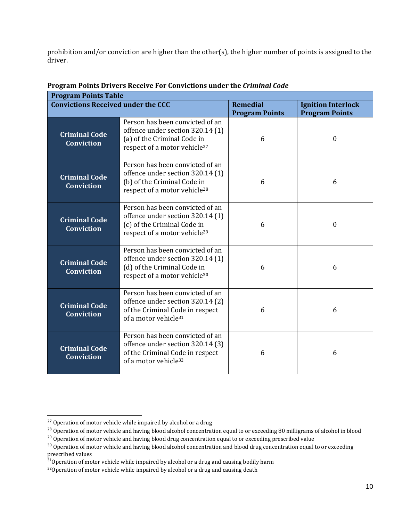prohibition and/or conviction are higher than the other(s), the higher number of points is assigned to the driver.

| <b>Program Points Table</b>               |                                                                                                                                                |                       |                           |  |  |
|-------------------------------------------|------------------------------------------------------------------------------------------------------------------------------------------------|-----------------------|---------------------------|--|--|
| <b>Convictions Received under the CCC</b> |                                                                                                                                                | <b>Remedial</b>       | <b>Ignition Interlock</b> |  |  |
|                                           |                                                                                                                                                | <b>Program Points</b> | <b>Program Points</b>     |  |  |
| <b>Criminal Code</b><br><b>Conviction</b> | Person has been convicted of an<br>offence under section 320.14 (1)<br>(a) of the Criminal Code in<br>respect of a motor vehicle <sup>27</sup> | 6                     | $\theta$                  |  |  |
| <b>Criminal Code</b><br>Conviction        | Person has been convicted of an<br>offence under section 320.14 (1)<br>(b) of the Criminal Code in<br>respect of a motor vehicle <sup>28</sup> | 6                     | 6                         |  |  |
| <b>Criminal Code</b><br><b>Conviction</b> | Person has been convicted of an<br>offence under section 320.14 (1)<br>(c) of the Criminal Code in<br>respect of a motor vehicle <sup>29</sup> | 6                     | $\boldsymbol{0}$          |  |  |
| <b>Criminal Code</b><br><b>Conviction</b> | Person has been convicted of an<br>offence under section 320.14 (1)<br>(d) of the Criminal Code in<br>respect of a motor vehicle <sup>30</sup> | 6                     | 6                         |  |  |
| <b>Criminal Code</b><br><b>Conviction</b> | Person has been convicted of an<br>offence under section 320.14 (2)<br>of the Criminal Code in respect<br>of a motor vehicle <sup>31</sup>     | 6                     | 6                         |  |  |
| <b>Criminal Code</b><br><b>Conviction</b> | Person has been convicted of an<br>offence under section 320.14 (3)<br>of the Criminal Code in respect<br>of a motor vehicle <sup>32</sup>     | 6                     | 6                         |  |  |

#### **Program Points Drivers Receive For Convictions under the** *Criminal Code*

<sup>&</sup>lt;sup>27</sup> Operation of motor vehicle while impaired by alcohol or a drug

<sup>&</sup>lt;sup>28</sup> Operation of motor vehicle and having blood alcohol concentration equal to or exceeding 80 milligrams of alcohol in blood

<sup>&</sup>lt;sup>29</sup> Operation of motor vehicle and having blood drug concentration equal to or exceeding prescribed value

<sup>&</sup>lt;sup>30</sup> Operation of motor vehicle and having blood alcohol concentration and blood drug concentration equal to or exceeding prescribed values

 $31$ Operation of motor vehicle while impaired by alcohol or a drug and causing bodily harm

 $32$ Operation of motor vehicle while impaired by alcohol or a drug and causing death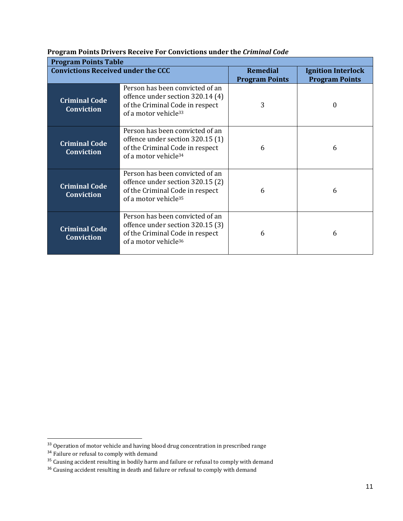**Program Points Drivers Receive For Convictions under the** *Criminal Code*

| <b>Program Points Table</b>                                                                                                                                                             |                                                                                                                                            |                                          |                                                    |  |  |
|-----------------------------------------------------------------------------------------------------------------------------------------------------------------------------------------|--------------------------------------------------------------------------------------------------------------------------------------------|------------------------------------------|----------------------------------------------------|--|--|
| <b>Convictions Received under the CCC</b>                                                                                                                                               |                                                                                                                                            | <b>Remedial</b><br><b>Program Points</b> | <b>Ignition Interlock</b><br><b>Program Points</b> |  |  |
| Person has been convicted of an<br>offence under section 320.14 (4)<br><b>Criminal Code</b><br>of the Criminal Code in respect<br><b>Conviction</b><br>of a motor vehicle <sup>33</sup> |                                                                                                                                            | 3                                        | 0                                                  |  |  |
| <b>Criminal Code</b><br><b>Conviction</b>                                                                                                                                               | Person has been convicted of an<br>offence under section 320.15 (1)<br>of the Criminal Code in respect<br>of a motor vehicle <sup>34</sup> | 6                                        | 6                                                  |  |  |
| <b>Criminal Code</b><br><b>Conviction</b>                                                                                                                                               | Person has been convicted of an<br>offence under section 320.15 (2)<br>of the Criminal Code in respect<br>of a motor vehicle <sup>35</sup> | 6                                        | 6                                                  |  |  |
| <b>Criminal Code</b><br><b>Conviction</b>                                                                                                                                               | Person has been convicted of an<br>offence under section 320.15 (3)<br>of the Criminal Code in respect<br>of a motor vehicle <sup>36</sup> | 6                                        | 6                                                  |  |  |

<sup>&</sup>lt;sup>33</sup> Operation of motor vehicle and having blood drug concentration in prescribed range

<sup>&</sup>lt;sup>34</sup> Failure or refusal to comply with demand

<sup>&</sup>lt;sup>35</sup> Causing accident resulting in bodily harm and failure or refusal to comply with demand

 $36$  Causing accident resulting in death and failure or refusal to comply with demand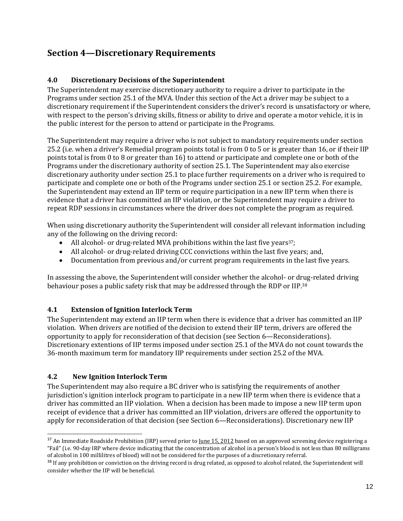## <span id="page-11-0"></span>**Section 4—Discretionary Requirements**

#### <span id="page-11-1"></span>**4.0 Discretionary Decisions of the Superintendent**

The Superintendent may exercise discretionary authority to require a driver to participate in the Programs under section 25.1 of the MVA. Under this section of the Act a driver may be subject to a discretionary requirement if the Superintendent considers the driver's record is unsatisfactory or where, with respect to the person's driving skills, fitness or ability to drive and operate a motor vehicle, it is in the public interest for the person to attend or participate in the Programs.

The Superintendent may require a driver who is not subject to mandatory requirements under section 25.2 (i.e. when a driver's Remedial program points total is from 0 to 5 or is greater than 16, or if their IIP points total is from 0 to 8 or greater than 16) to attend or participate and complete one or both of the Programs under the discretionary authority of section 25.1. The Superintendent may also exercise discretionary authority under section 25.1 to place further requirements on a driver who is required to participate and complete one or both of the Programs under section 25.1 or section 25.2. For example, the Superintendent may extend an IIP term or require participation in a new IIP term when there is evidence that a driver has committed an IIP violation, or the Superintendent may require a driver to repeat RDP sessions in circumstances where the driver does not complete the program as required.

When using discretionary authority the Superintendent will consider all relevant information including any of the following on the driving record:

- All alcohol- or drug-related MVA prohibitions within the last five years<sup>37</sup>;
- All alcohol- or drug-related driving CCC convictions within the last five years; and,
- Documentation from previous and/or current program requirements in the last five years.

In assessing the above, the Superintendent will consider whether the alcohol- or drug-related driving behaviour poses a public safety risk that may be addressed through the RDP or IIP.<sup>38</sup>

#### <span id="page-11-2"></span>**4.1 Extension of Ignition Interlock Term**

The Superintendent may extend an IIP term when there is evidence that a driver has committed an IIP violation. When drivers are notified of the decision to extend their IIP term, drivers are offered the opportunity to apply for reconsideration of that decision (see Section 6—Reconsiderations). Discretionary extentions of IIP terms imposed under section 25.1 of the MVA do not count towards the 36-month maximum term for mandatory IIP requirements under section 25.2 of the MVA.

#### <span id="page-11-3"></span>**4.2 New Ignition Interlock Term**

The Superintendent may also require a BC driver who is satisfying the requirements of another jurisdiction's ignition interlock program to participate in a new IIP term when there is evidence that a driver has committed an IIP violation. When a decision has been made to impose a new IIP term upon receipt of evidence that a driver has committed an IIP violation, drivers are offered the opportunity to apply for reconsideration of that decision (see Section 6—Reconsiderations). Discretionary new IIP

<sup>&</sup>lt;sup>37</sup> An Immediate Roadside Prohibition (IRP) served prior to <u>June 15, 2012</u> based on an approved screening device registering a "Fail" (i.e. 90-day IRP where device indicating that the concentration of alcohol in a person's blood is not less than 80 milligrams of alcohol in 100 millilitres of blood) will not be considered for the purposes of a discretionary referral.

<sup>&</sup>lt;sup>38</sup> If any prohibition or conviction on the driving record is drug related, as opposed to alcohol related, the Superintendent will consider whether the IIP will be beneficial.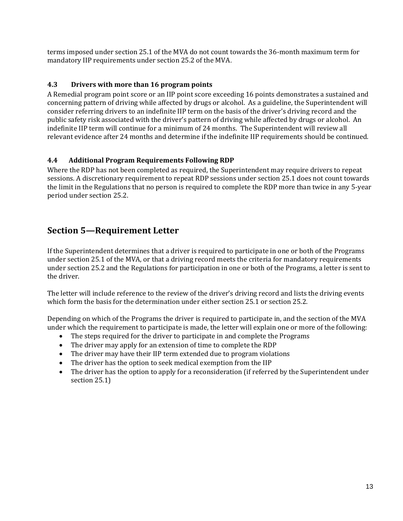terms imposed under section 25.1 of the MVA do not count towards the 36-month maximum term for mandatory IIP requirements under section 25.2 of the MVA.

#### <span id="page-12-0"></span>**4.3 Drivers with more than 16 program points**

A Remedial program point score or an IIP point score exceeding 16 points demonstrates a sustained and concerning pattern of driving while affected by drugs or alcohol. As a guideline, the Superintendent will consider referring drivers to an indefinite IIP term on the basis of the driver's driving record and the public safety risk associated with the driver's pattern of driving while affected by drugs or alcohol. An indefinite IIP term will continue for a minimum of 24 months. The Superintendent will review all relevant evidence after 24 months and determine if the indefinite IIP requirements should be continued.

#### <span id="page-12-1"></span>**4.4 Additional Program Requirements Following RDP**

Where the RDP has not been completed as required, the Superintendent may require drivers to repeat sessions. A discretionary requirement to repeat RDP sessions under section 25.1 does not count towards the limit in the Regulations that no person is required to complete the RDP more than twice in any 5-year period under section 25.2.

## <span id="page-12-2"></span>**Section 5—Requirement Letter**

If the Superintendent determines that a driver is required to participate in one or both of the Programs under section 25.1 of the MVA, or that a driving record meets the criteria for mandatory requirements under section 25.2 and the Regulations for participation in one or both of the Programs, a letter is sent to the driver.

The letter will include reference to the review of the driver's driving record and lists the driving events which form the basis for the determination under either section 25.1 or section 25.2.

Depending on which of the Programs the driver is required to participate in, and the section of the MVA under which the requirement to participate is made, the letter will explain one or more of the following:

- The steps required for the driver to participate in and complete the Programs
- The driver may apply for an extension of time to complete the RDP
- The driver may have their IIP term extended due to program violations
- The driver has the option to seek medical exemption from the IIP
- The driver has the option to apply for a reconsideration (if referred by the Superintendent under section 25.1)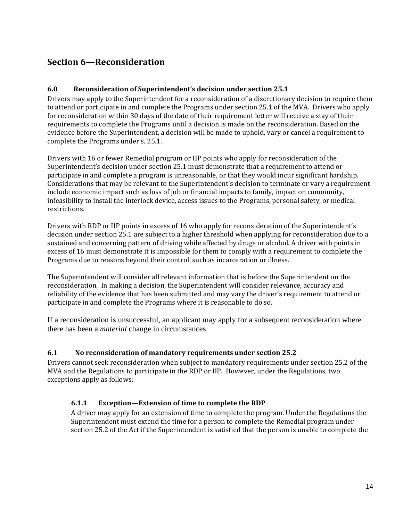## <span id="page-13-0"></span>**Section 6—Reconsideration**

#### <span id="page-13-1"></span>**6.0 Reconsideration of Superintendent's decision under section 25.1**

Drivers may apply to the Superintendent for a reconsideration of a discretionary decision to require them to attend or participate in and complete the Programs under section 25.1 of the MVA. Drivers who apply for reconsideration within 30 days of the date of their requirement letter will receive a stay of their requirements to complete the Programs until a decision is made on the reconsideration. Based on the evidence before the Superintendent, a decision will be made to uphold, vary or cancel a requirement to complete the Programs under s. 25.1.

Drivers with 16 or fewer Remedial program or IIP points who apply for reconsideration of the Superintendent's decision under section 25.1 must demonstrate that a requirement to attend or participate in and complete a program is unreasonable, or that they would incur significant hardship. Considerations that may be relevant to the Superintendent's decision to terminate or vary a requirement include economic impact such as loss of job or financial impacts to family, impact on community, infeasibility to install the interlock device, access issues to the Programs, personal safety, or medical restrictions.

Drivers with RDP or IIP points in excess of 16 who apply for reconsideration of the Superintendent's decision under section 25.1 are subject to a higher threshold when applying for reconsideration due to a sustained and concerning pattern of driving while affected by drugs or alcohol. A driver with points in excess of 16 must demonstrate it is impossible for them to comply with a requirement to complete the Programs due to reasons beyond their control, such as incarceration or illness.

The Superintendent will consider all relevant information that is before the Superintendent on the reconsideration. In making a decision, the Superintendent will consider relevance, accuracy and reliability of the evidence that has been submitted and may vary the driver's requirement to attend or participate in and complete the Programs where it is reasonable to do so.

If a reconsideration is unsuccessful, an applicant may apply for a subsequent reconsideration where there has been a *material* change in circumstances.

#### <span id="page-13-2"></span>**6.1 No reconsideration of mandatory requirements under section 25.2**

Drivers cannot seek reconsideration when subject to mandatory requirements under section 25.2 of the MVA and the Regulations to participate in the RDP or IIP. However, under the Regulations, two exceptions apply as follows:

#### <span id="page-13-3"></span>**6.1.1 Exception—Extension of time to complete the RDP**

A driver may apply for an extension of time to complete the program. Under the Regulations the Superintendent must extend the time for a person to complete the Remedial program under section 25.2 of the Act if the Superintendent is satisfied that the person is unable to complete the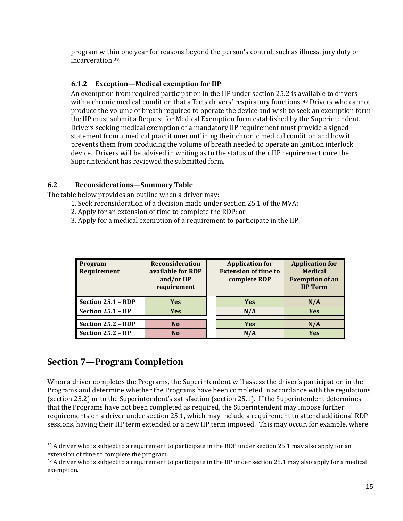program within one year for reasons beyond the person's control, such as illness, jury duty or incarceration. 39

#### <span id="page-14-0"></span>**6.1.2 Exception—Medical exemption for IIP**

An exemption from required participation in the IIP under section 25.2 is available to drivers with a chronic medical condition that affects drivers' respiratory functions. <sup>40</sup> Drivers who cannot produce the volume of breath required to operate the device and wish to seek an exemption form the IIP must submit a Request for Medical Exemption form established by the Superintendent. Drivers seeking medical exemption of a mandatory IIP requirement must provide a signed statement from a medical practitioner outlining their chronic medical condition and how it prevents them from producing the volume of breath needed to operate an ignition interlock device. Drivers will be advised in writing as to the status of their IIP requirement once the Superintendent has reviewed the submitted form.

#### <span id="page-14-1"></span>**6.2 Reconsiderations—Summary Table**

The table below provides an outline when a driver may:

- 1. Seek reconsideration of a decision made under section 25.1 of the MVA;
- 2. Apply for an extension of time to complete the RDP; or
- 3. Apply for a medical exemption of a requirement to participate in the IIP.

| <b>Program</b><br>Requirement | <b>Reconsideration</b><br>available for RDP<br>and/or IIP<br>requirement | <b>Application for</b><br><b>Extension of time to</b><br>complete RDP | <b>Application for</b><br><b>Medical</b><br><b>Exemption of an</b><br><b>IIP Term</b> |
|-------------------------------|--------------------------------------------------------------------------|-----------------------------------------------------------------------|---------------------------------------------------------------------------------------|
| Section 25.1 - RDP            | <b>Yes</b>                                                               | <b>Yes</b>                                                            | N/A                                                                                   |
| Section 25.1 - IIP            | <b>Yes</b>                                                               | N/A                                                                   | <b>Yes</b>                                                                            |
| Section 25.2 - RDP            | N <sub>0</sub>                                                           | <b>Yes</b>                                                            | N/A                                                                                   |
| Section 25.2 - IIP            | N <sub>0</sub>                                                           | N/A                                                                   | <b>Yes</b>                                                                            |

## <span id="page-14-2"></span>**Section 7—Program Completion**

When a driver completes the Programs, the Superintendent will assess the driver's participation in the Programs and determine whether the Programs have been completed in accordance with the regulations (section 25.2) or to the Superintendent's satisfaction (section 25.1). If the Superintendent determines that the Programs have not been completed as required, the Superintendent may impose further requirements on a driver under section 25.1, which may include a requirement to attend additional RDP sessions, having their IIP term extended or a new IIP term imposed. This may occur, for example, where

<sup>&</sup>lt;sup>39</sup> A driver who is subject to a requirement to participate in the RDP under section 25.1 may also apply for an extension of time to complete the program.

 $40$  A driver who is subject to a requirement to participate in the IIP under section 25.1 may also apply for a medical exemption.